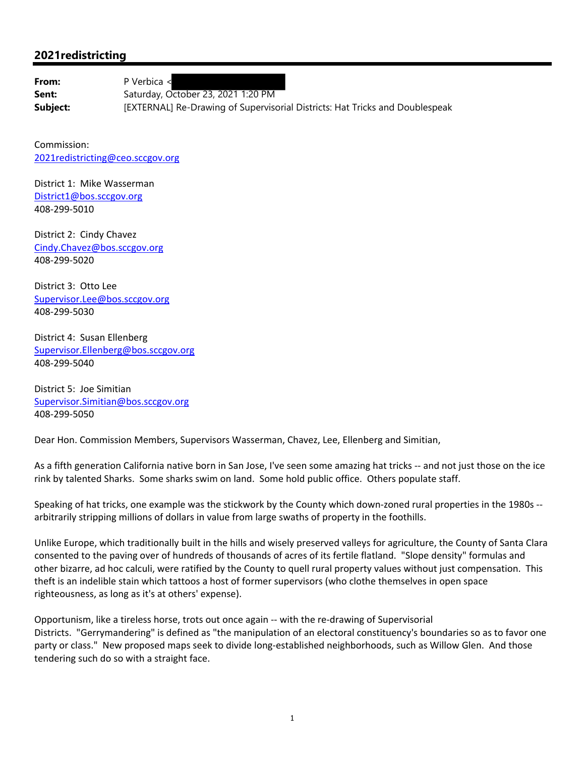## **2021redistricting**

From: P Verbica <

Sent: Saturday, October 23, 2021 1:20 PM **Subject: EXTERNAL**] Re-Drawing of Supervisorial Districts: Hat Tricks and Doublespeak

Commission: 2021redistricting@ceo.sccgov.org

District 1: Mike Wasserman District1@bos.sccgov.org 408‐299‐5010

District 2: Cindy Chavez Cindy.Chavez@bos.sccgov.org 408‐299‐5020

District 3: Otto Lee Supervisor.Lee@bos.sccgov.org 408‐299‐5030

District 4: Susan Ellenberg Supervisor.Ellenberg@bos.sccgov.org 408‐299‐5040

District 5: Joe Simitian Supervisor.Simitian@bos.sccgov.org 408‐299‐5050

Dear Hon. Commission Members, Supervisors Wasserman, Chavez, Lee, Ellenberg and Simitian,

As a fifth generation California native born in San Jose, I've seen some amazing hat tricks -- and not just those on the ice rink by talented Sharks. Some sharks swim on land. Some hold public office. Others populate staff.

Speaking of hat tricks, one example was the stickwork by the County which down‐zoned rural properties in the 1980s ‐‐ arbitrarily stripping millions of dollars in value from large swaths of property in the foothills.

Unlike Europe, which traditionally built in the hills and wisely preserved valleys for agriculture, the County of Santa Clara consented to the paving over of hundreds of thousands of acres of its fertile flatland. "Slope density" formulas and other bizarre, ad hoc calculi, were ratified by the County to quell rural property values without just compensation. This theft is an indelible stain which tattoos a host of former supervisors (who clothe themselves in open space righteousness, as long as it's at others' expense).

Opportunism, like a tireless horse, trots out once again ‐‐ with the re‐drawing of Supervisorial Districts. "Gerrymandering" is defined as "the manipulation of an electoral constituency's boundaries so as to favor one party or class." New proposed maps seek to divide long-established neighborhoods, such as Willow Glen. And those tendering such do so with a straight face.